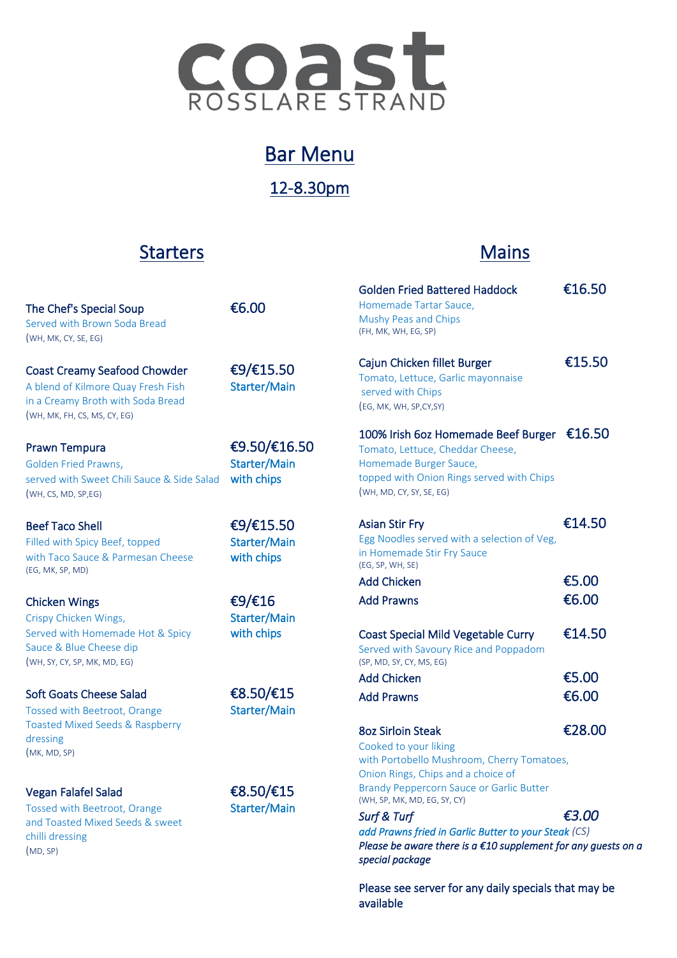

# Bar Menu

12-8.30pm

### **Starters**

## **Mains**

| <b>Golden Fried Battered Haddock</b><br>Homemade Tartar Sauce.<br>Mushy Peas and Chips<br>(FH, MK, WH, EG, SP)                                                                    | €16.50 |
|-----------------------------------------------------------------------------------------------------------------------------------------------------------------------------------|--------|
| Cajun Chicken fillet Burger<br>Tomato, Lettuce, Garlic mayonnaise<br>served with Chips<br>(EG, MK, WH, SP,CY,SY)                                                                  | €15.50 |
| 100% Irish 6oz Homemade Beef Burger €16.50<br>Tomato, Lettuce, Cheddar Cheese,<br>Homemade Burger Sauce,<br>topped with Onion Rings served with Chips<br>(WH, MD, CY, SY, SE, EG) |        |
| <b>Asian Stir Fry</b><br>Egg Noodles served with a selection of Veg,<br>in Homemade Stir Fry Sauce<br>(EG, SP, WH, SE)                                                            | €14.50 |
| <b>Add Chicken</b>                                                                                                                                                                | €5.00  |
|                                                                                                                                                                                   |        |
| <b>Add Prawns</b>                                                                                                                                                                 | €6.00  |
| <b>Coast Special Mild Vegetable Curry</b><br>Served with Savoury Rice and Poppadom<br>(SP, MD, SY, CY, MS, EG)                                                                    | €14.50 |
| <b>Add Chicken</b>                                                                                                                                                                | €5.00  |
| <b>Add Prawns</b>                                                                                                                                                                 | €6.00  |
|                                                                                                                                                                                   |        |
| <b>8oz Sirloin Steak</b><br>Cooked to your liking                                                                                                                                 | €28.00 |
| with Portobello Mushroom, Cherry Tomatoes,<br>Onion Rings, Chips and a choice of<br><b>Brandy Peppercorn Sauce or Garlic Butter</b><br>(WH, SP, MK, MD, EG, SY, CY)               |        |
| Surf & Turf                                                                                                                                                                       | €3.00  |
| add Prawns fried in Garlic Butter to your Steak (CS)                                                                                                                              |        |
| Please be aware there is a $\epsilon$ 10 supplement for any guests on a<br>special package                                                                                        |        |

Please see server for any daily specials that may be available

| The Chef's Special Soup<br>Served with Brown Soda Bread<br>(WH, MK, CY, SE, EG)                                                                | €6.00                                      | <b>Golden Fried Battered Haddock</b><br>Homemade Tartar Sauce.<br>Mushy Peas and Chips<br>(FH, MK, WH, EG, SP)                                                                                                                             | €16.5          |
|------------------------------------------------------------------------------------------------------------------------------------------------|--------------------------------------------|--------------------------------------------------------------------------------------------------------------------------------------------------------------------------------------------------------------------------------------------|----------------|
| <b>Coast Creamy Seafood Chowder</b><br>A blend of Kilmore Quay Fresh Fish<br>in a Creamy Broth with Soda Bread<br>(WH, MK, FH, CS, MS, CY, EG) | €9/€15.50<br>Starter/Main                  | Cajun Chicken fillet Burger<br>Tomato, Lettuce, Garlic mayonnaise<br>served with Chips<br>(EG, MK, WH, SP,CY,SY)                                                                                                                           | €15.5          |
| <b>Prawn Tempura</b><br>Golden Fried Prawns,<br>served with Sweet Chili Sauce & Side Salad<br>(WH, CS, MD, SP, EG)                             | €9.50/€16.50<br>Starter/Main<br>with chips | 100% Irish 6oz Homemade Beef Burger €16.5<br>Tomato, Lettuce, Cheddar Cheese,<br>Homemade Burger Sauce,<br>topped with Onion Rings served with Chips<br>(WH, MD, CY, SY, SE, EG)                                                           |                |
| <b>Beef Taco Shell</b><br>Filled with Spicy Beef, topped<br>with Taco Sauce & Parmesan Cheese<br>(EG, MK, SP, MD)                              | €9/€15.50<br>Starter/Main<br>with chips    | <b>Asian Stir Fry</b><br>Egg Noodles served with a selection of Veg,<br>in Homemade Stir Fry Sauce<br>(EG, SP, WH, SE)<br><b>Add Chicken</b>                                                                                               | €14.5<br>€5.00 |
| <b>Chicken Wings</b><br>Crispy Chicken Wings,                                                                                                  | €9/€16<br>Starter/Main                     | <b>Add Prawns</b>                                                                                                                                                                                                                          | €6.00          |
| Served with Homemade Hot & Spicy<br>Sauce & Blue Cheese dip<br>(WH, SY, CY, SP, MK, MD, EG)                                                    | with chips                                 | <b>Coast Special Mild Vegetable Curry</b><br>Served with Savoury Rice and Poppadom<br>(SP, MD, SY, CY, MS, EG)                                                                                                                             | €14.5          |
| <b>Soft Goats Cheese Salad</b><br><b>Tossed with Beetroot, Orange</b>                                                                          | €8.50/€15<br>Starter/Main                  | <b>Add Chicken</b><br><b>Add Prawns</b>                                                                                                                                                                                                    | €5.00<br>€6.00 |
| <b>Toasted Mixed Seeds &amp; Raspberry</b><br>dressing<br>(MK, MD, SP)                                                                         |                                            | <b>8oz Sirloin Steak</b><br>Cooked to your liking<br>with Portobello Mushroom, Cherry Tomatoes,<br>Onion Rings, Chips and a choice of                                                                                                      | €28.0          |
| Vegan Falafel Salad<br><b>Tossed with Beetroot, Orange</b><br>and Toasted Mixed Seeds & sweet<br>chilli dressing<br>(MD, SP)                   | €8.50/€15<br>Starter/Main                  | <b>Brandy Peppercorn Sauce or Garlic Butter</b><br>(WH, SP, MK, MD, EG, SY, CY)<br>Surf & Turf<br>add Prawns fried in Garlic Butter to your Steak (CS)<br>Please be aware there is a $\epsilon$ 10 supplement for any g<br>special package | €3.00          |